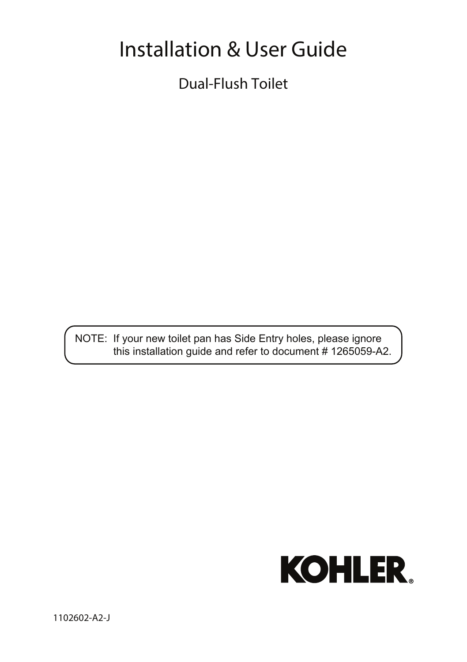# Installation & User Guide

Dual-Flush Toilet

NOTE: If your new toilet pan has Side Entry holes, please ignore this installation guide and refer to document # 1265059-A2.

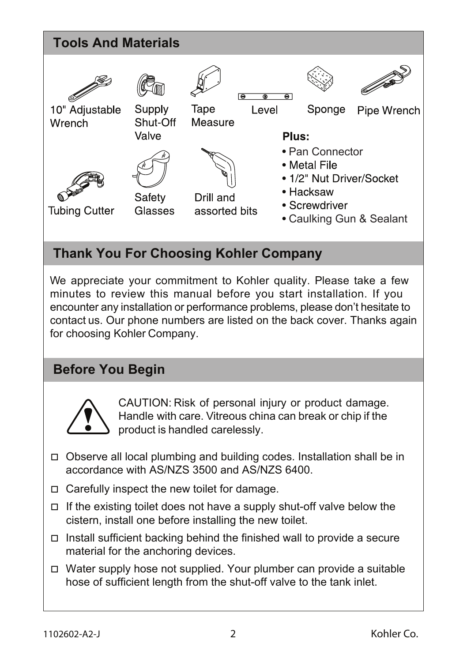

## **Thank You For Choosing Kohler Company**

We appreciate your commitment to Kohler quality. Please take a few minutes to review this manual before you start installation. If you encounter any installation or performance problems, please don't hesitate to contact us. Our phone numbers are listed on the back cover. Thanks again for choosing Kohler Company.

## **Before You Begin**



CAUTION: Risk of personal injury or product damage. Handle with care. Vitreous china can break or chip if the product is handled carelessly.

- Observe all local plumbing and building codes. Installation shall be in accordance with AS/NZS 3500 and AS/NZS 6400.
- $\Box$  Carefully inspect the new toilet for damage.
- $\Box$  If the existing toilet does not have a supply shut-off valve below the cistern, install one before installing the new toilet.
- $\Box$  Install sufficient backing behind the finished wall to provide a secure material for the anchoring devices.
- $\Box$  Water supply hose not supplied. Your plumber can provide a suitable hose of sufficient length from the shut-off valve to the tank inlet.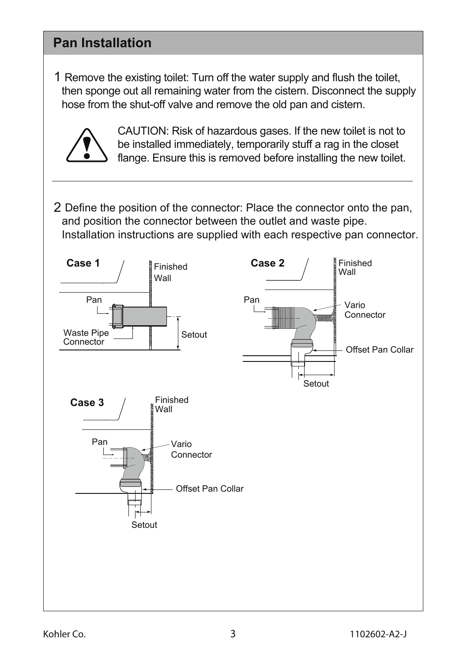### **Pan Installation**

1Remove the existing toilet: Turn off the water supply and flush the toilet, then sponge out all remaining water from the cistern. Disconnect the supply hose from the shut-off valve and remove the old pan and cistern.



 CAUTION: Risk of hazardous gases. If the new toilet is not to be installed immediately, temporarily stuff a rag in the closet flange. Ensure this is removed before installing the new toilet.

2 Define the position of the connector: Place the connector onto the pan, and position the connector between the outlet and waste pipe. Installation instructions are supplied with each respective pan connector.

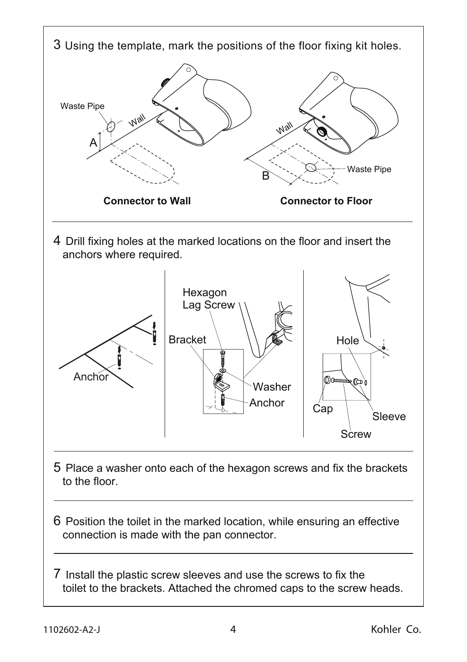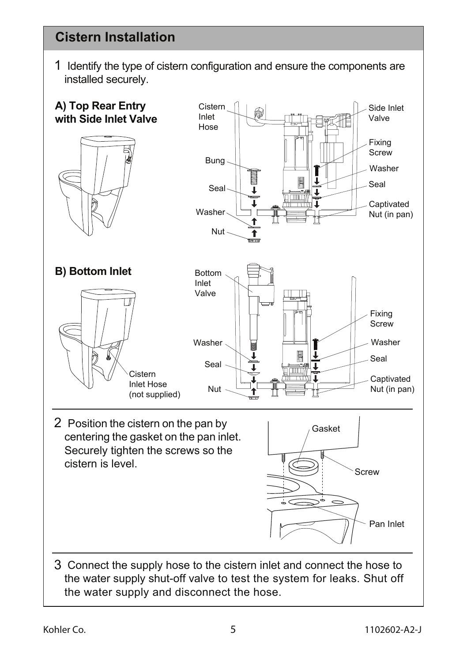## **Cistern Installation**

1 Identify the type of cistern configuration and ensure the components are installed securely.

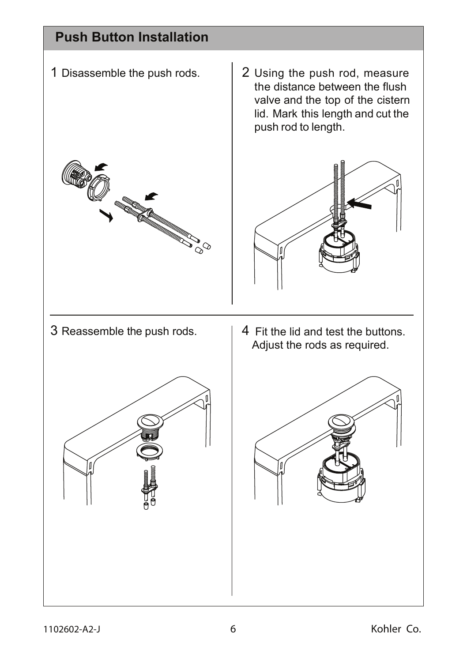## **Push Button Installation**







3 Reassemble the push rods.  $\vert 4 \rangle$  Fit the lid and test the buttons. Adjust the rods as required.

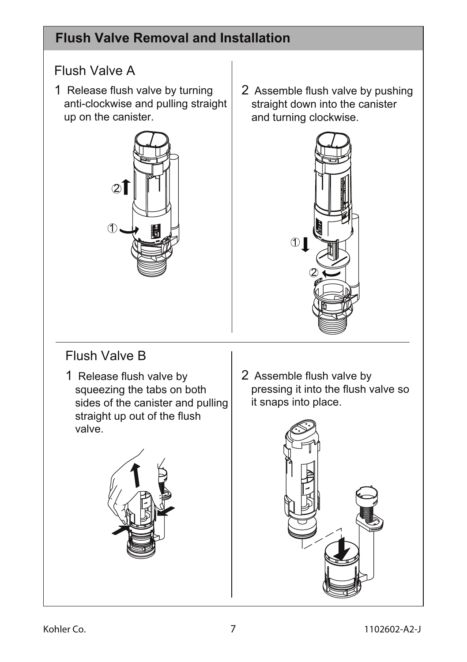# **Flush Valve Removal and Installation**

## Flush Valve A

1 Release flush valve by turning anti-clockwise and pulling straight up on the canister.



2 Assemble flush valve by pushing straight down into the canister and turning clockwise.



# Flush Valve B

1 Release flush valve by  $\vert 2 \vert$ squeezing the tabs on both sides of the canister and pulling straight up out of the flush valve.



2 Assemble flush valve by pressing it into the flush valve so it snaps into place.